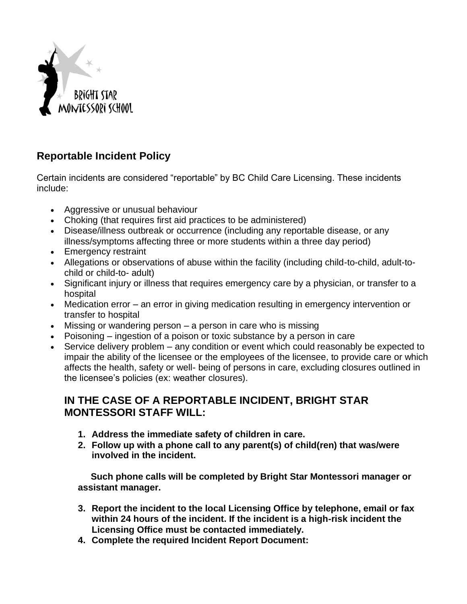

## **Reportable Incident Policy**

Certain incidents are considered "reportable" by BC Child Care Licensing. These incidents include:

- Aggressive or unusual behaviour
- Choking (that requires first aid practices to be administered)
- Disease/illness outbreak or occurrence (including any reportable disease, or any illness/symptoms affecting three or more students within a three day period)
- Emergency restraint
- Allegations or observations of abuse within the facility (including child-to-child, adult-tochild or child-to- adult)
- Significant injury or illness that requires emergency care by a physician, or transfer to a hospital
- Medication error an error in giving medication resulting in emergency intervention or transfer to hospital
- Missing or wandering person a person in care who is missing
- Poisoning ingestion of a poison or toxic substance by a person in care
- Service delivery problem any condition or event which could reasonably be expected to impair the ability of the licensee or the employees of the licensee, to provide care or which affects the health, safety or well- being of persons in care, excluding closures outlined in the licensee's policies (ex: weather closures).

## **IN THE CASE OF A REPORTABLE INCIDENT, BRIGHT STAR MONTESSORI STAFF WILL:**

- **1. Address the immediate safety of children in care.**
- **2. Follow up with a phone call to any parent(s) of child(ren) that was/were involved in the incident.**

 **Such phone calls will be completed by Bright Star Montessori manager or assistant manager.** 

- **3. Report the incident to the local Licensing Office by telephone, email or fax within 24 hours of the incident. If the incident is a high-risk incident the Licensing Office must be contacted immediately.**
- **4. Complete the required Incident Report Document:**